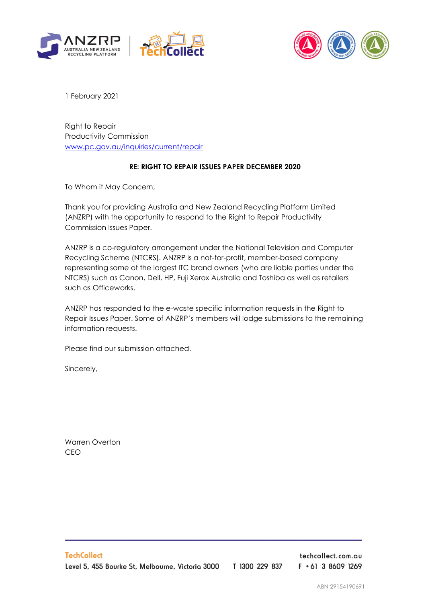





1 February 2021

Right to Repair Productivity Commission [www.pc.gov.au/inquiries/current/repair](http://www.pc.gov.au/inquiries/current/repair)

### **RE: RIGHT TO REPAIR ISSUES PAPER DECEMBER 2020**

To Whom it May Concern,

Thank you for providing Australia and New Zealand Recycling Platform Limited (ANZRP) with the opportunity to respond to the Right to Repair Productivity Commission Issues Paper.

ANZRP is a co-regulatory arrangement under the National Television and Computer Recycling Scheme (NTCRS). ANZRP is a not-for-profit, member-based company representing some of the largest ITC brand owners (who are liable parties under the NTCRS) such as Canon, Dell, HP, Fuji Xerox Australia and Toshiba as well as retailers such as Officeworks.

ANZRP has responded to the e-waste specific information requests in the Right to Repair Issues Paper. Some of ANZRP's members will lodge submissions to the remaining information requests.

Please find our submission attached.

Sincerely,

Warren Overton CEO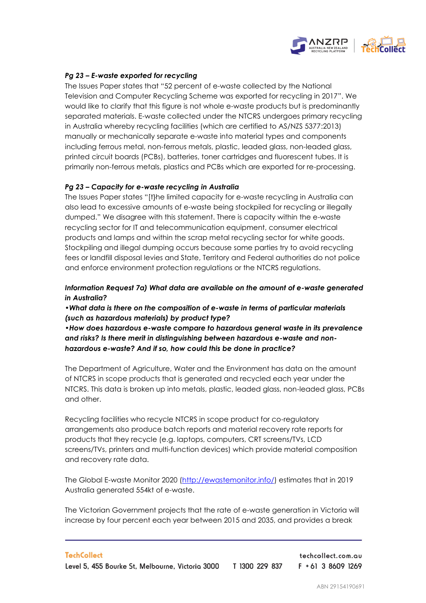

### *Pg 23 – E-waste exported for recycling*

The Issues Paper states that "52 percent of e-waste collected by the National Television and Computer Recycling Scheme was exported for recycling in 2017". We would like to clarify that this figure is not whole e-waste products but is predominantly separated materials. E-waste collected under the NTCRS undergoes primary recycling in Australia whereby recycling facilities (which are certified to AS/NZS 5377:2013) manually or mechanically separate e-waste into material types and components including ferrous metal, non-ferrous metals, plastic, leaded glass, non-leaded glass, printed circuit boards (PCBs), batteries, toner cartridges and fluorescent tubes. It is primarily non-ferrous metals, plastics and PCBs which are exported for re-processing.

#### *Pg 23 – Capacity for e-waste recycling in Australia*

The Issues Paper states "[t}he limited capacity for e-waste recycling in Australia can also lead to excessive amounts of e-waste being stockpiled for recycling or illegally dumped." We disagree with this statement. There is capacity within the e-waste recycling sector for IT and telecommunication equipment, consumer electrical products and lamps and within the scrap metal recycling sector for white goods. Stockpiling and illegal dumping occurs because some parties try to avoid recycling fees or landfill disposal levies and State, Territory and Federal authorities do not police and enforce environment protection regulations or the NTCRS regulations.

## *Information Request 7a) What data are available on the amount of e-waste generated in Australia?*

*•What data is there on the composition of e-waste in terms of particular materials (such as hazardous materials) by product type?*

*•How does hazardous e-waste compare to hazardous general waste in its prevalence and risks? Is there merit in distinguishing between hazardous e-waste and nonhazardous e-waste? And if so, how could this be done in practice?*

The Department of Agriculture, Water and the Environment has data on the amount of NTCRS in scope products that is generated and recycled each year under the NTCRS. This data is broken up into metals, plastic, leaded glass, non-leaded glass, PCBs and other.

Recycling facilities who recycle NTCRS in scope product for co-regulatory arrangements also produce batch reports and material recovery rate reports for products that they recycle (e.g. laptops, computers, CRT screens/TVs, LCD screens/TVs, printers and multi-function devices) which provide material composition and recovery rate data.

The Global E-waste Monitor 2020 [\(http://ewastemonitor.info/\)](http://ewastemonitor.info/) estimates that in 2019 Australia generated 554kt of e-waste.

The Victorian Government projects that the rate of e-waste generation in Victoria will increase by four percent each year between 2015 and 2035, and provides a break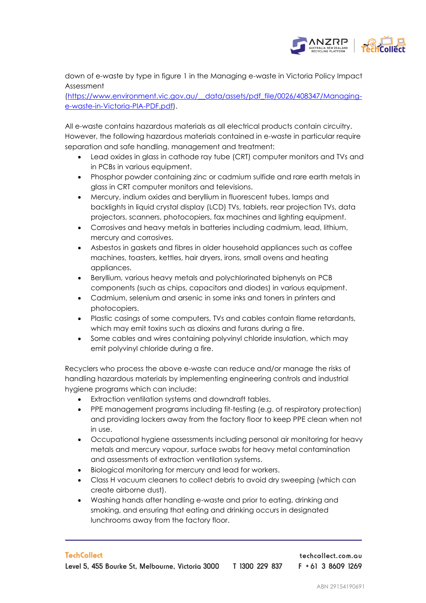

down of e-waste by type in figure 1 in the Managing e-waste in Victoria Policy Impact Assessment

[\(https://www.environment.vic.gov.au/\\_\\_data/assets/pdf\\_file/0026/408347/Managing](https://www.environment.vic.gov.au/__data/assets/pdf_file/0026/408347/Managing-e-waste-in-Victoria-PIA-PDF.pdf)[e-waste-in-Victoria-PIA-PDF.pdf\)](https://www.environment.vic.gov.au/__data/assets/pdf_file/0026/408347/Managing-e-waste-in-Victoria-PIA-PDF.pdf).

All e-waste contains hazardous materials as all electrical products contain circuitry. However, the following hazardous materials contained in e-waste in particular require separation and safe handling, management and treatment:

- Lead oxides in glass in cathode ray tube (CRT) computer monitors and TVs and in PCBs in various equipment.
- Phosphor powder containing zinc or cadmium sulfide and rare earth metals in glass in CRT computer monitors and televisions.
- Mercury, indium oxides and beryllium in fluorescent tubes, lamps and backlights in liquid crystal display (LCD) TVs, tablets, rear projection TVs, data projectors, scanners, photocopiers, fax machines and lighting equipment.
- Corrosives and heavy metals in batteries including cadmium, lead, lithium, mercury and corrosives.
- Asbestos in gaskets and fibres in older household appliances such as coffee machines, toasters, kettles, hair dryers, irons, small ovens and heating appliances.
- Beryllium, various heavy metals and polychlorinated biphenyls on PCB components (such as chips, capacitors and diodes) in various equipment.
- Cadmium, selenium and arsenic in some inks and toners in printers and photocopiers.
- Plastic casings of some computers, TVs and cables contain flame retardants, which may emit toxins such as dioxins and furans during a fire.
- Some cables and wires containing polyvinyl chloride insulation, which may emit polyvinyl chloride during a fire.

Recyclers who process the above e-waste can reduce and/or manage the risks of handling hazardous materials by implementing engineering controls and industrial hygiene programs which can include:

- Extraction ventilation systems and downdraft tables.
- PPE management programs including fit-testing (e.g. of respiratory protection) and providing lockers away from the factory floor to keep PPE clean when not in use.
- Occupational hygiene assessments including personal air monitoring for heavy metals and mercury vapour, surface swabs for heavy metal contamination and assessments of extraction ventilation systems.
- Biological monitoring for mercury and lead for workers.
- Class H vacuum cleaners to collect debris to avoid dry sweeping (which can create airborne dust).
- Washing hands after handling e-waste and prior to eating, drinking and smoking, and ensuring that eating and drinking occurs in designated lunchrooms away from the factory floor.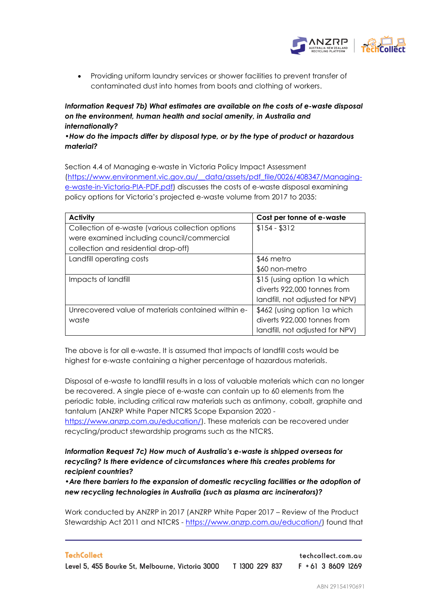

• Providing uniform laundry services or shower facilities to prevent transfer of contaminated dust into homes from boots and clothing of workers.

*Information Request 7b) What estimates are available on the costs of e-waste disposal on the environment, human health and social amenity, in Australia and internationally?* 

## *•How do the impacts differ by disposal type, or by the type of product or hazardous material?*

Section 4.4 of Managing e-waste in Victoria Policy Impact Assessment [\(https://www.environment.vic.gov.au/\\_\\_data/assets/pdf\\_file/0026/408347/Managing](https://www.environment.vic.gov.au/__data/assets/pdf_file/0026/408347/Managing-e-waste-in-Victoria-PIA-PDF.pdf)[e-waste-in-Victoria-PIA-PDF.pdf\)](https://www.environment.vic.gov.au/__data/assets/pdf_file/0026/408347/Managing-e-waste-in-Victoria-PIA-PDF.pdf) discusses the costs of e-waste disposal examining policy options for Victoria's projected e-waste volume from 2017 to 2035:

| <b>Activity</b>                                    | Cost per tonne of e-waste       |
|----------------------------------------------------|---------------------------------|
| Collection of e-waste (various collection options  | $$154 - $312$                   |
| were examined including council/commercial         |                                 |
| collection and residential drop-off)               |                                 |
| Landfill operating costs                           | \$46 metro                      |
|                                                    | \$60 non-metro                  |
| Impacts of landfill                                | \$15 (using option 1a which     |
|                                                    | diverts 922,000 tonnes from     |
|                                                    | landfill, not adjusted for NPV) |
| Unrecovered value of materials contained within e- | \$462 (using option 1a which    |
| waste                                              | diverts 922,000 tonnes from     |
|                                                    | landfill, not adjusted for NPV) |

The above is for all e-waste. It is assumed that impacts of landfill costs would be highest for e-waste containing a higher percentage of hazardous materials.

Disposal of e-waste to landfill results in a loss of valuable materials which can no longer be recovered. A single piece of e-waste can contain up to 60 elements from the periodic table, including critical raw materials such as antimony, cobalt, graphite and tantalum (ANZRP White Paper NTCRS Scope Expansion 2020 -

[https://www.anzrp.com.au/education/\)](https://www.anzrp.com.au/education/). These materials can be recovered under recycling/product stewardship programs such as the NTCRS.

## *Information Request 7c) How much of Australia's e-waste is shipped overseas for recycling? Is there evidence of circumstances where this creates problems for recipient countries?*

# *•Are there barriers to the expansion of domestic recycling facilities or the adoption of new recycling technologies in Australia (such as plasma arc incinerators)?*

Work conducted by ANZRP in 2017 (ANZRP White Paper 2017 – Review of the Product Stewardship Act 2011 and NTCRS - [https://www.anzrp.com.au/education/\)](https://www.anzrp.com.au/education/) found that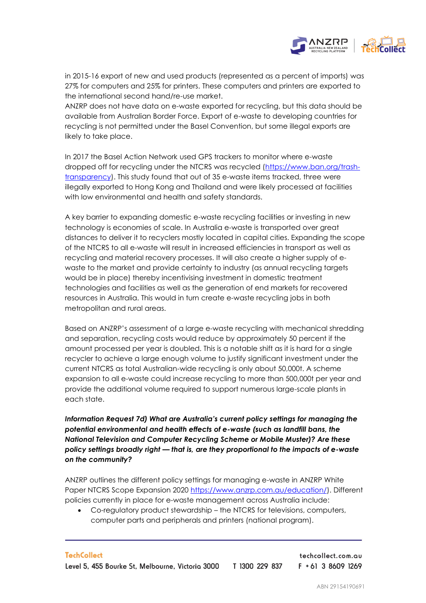

in 2015-16 export of new and used products (represented as a percent of imports) was 27% for computers and 25% for printers. These computers and printers are exported to the international second hand/re-use market.

ANZRP does not have data on e-waste exported for recycling, but this data should be available from Australian Border Force. Export of e-waste to developing countries for recycling is not permitted under the Basel Convention, but some illegal exports are likely to take place.

In 2017 the Basel Action Network used GPS trackers to monitor where e-waste dropped off for recycling under the NTCRS was recycled [\(https://www.ban.org/trash](https://www.ban.org/trash-transparency)[transparency\)](https://www.ban.org/trash-transparency). This study found that out of 35 e-waste items tracked, three were illegally exported to Hong Kong and Thailand and were likely processed at facilities with low environmental and health and safety standards.

A key barrier to expanding domestic e-waste recycling facilities or investing in new technology is economies of scale. In Australia e-waste is transported over great distances to deliver it to recyclers mostly located in capital cities. Expanding the scope of the NTCRS to all e-waste will result in increased efficiencies in transport as well as recycling and material recovery processes. It will also create a higher supply of ewaste to the market and provide certainty to industry (as annual recycling targets would be in place) thereby incentivising investment in domestic treatment technologies and facilities as well as the generation of end markets for recovered resources in Australia. This would in turn create e-waste recycling jobs in both metropolitan and rural areas.

Based on ANZRP's assessment of a large e-waste recycling with mechanical shredding and separation, recycling costs would reduce by approximately 50 percent if the amount processed per year is doubled. This is a notable shift as it is hard for a single recycler to achieve a large enough volume to justify significant investment under the current NTCRS as total Australian-wide recycling is only about 50,000t. A scheme expansion to all e-waste could increase recycling to more than 500,000t per year and provide the additional volume required to support numerous large-scale plants in each state.

*Information Request 7d) What are Australia's current policy settings for managing the potential environmental and health effects of e-waste (such as landfill bans, the National Television and Computer Recycling Scheme or Mobile Muster)? Are these policy settings broadly right — that is, are they proportional to the impacts of e-waste on the community?*

ANZRP outlines the different policy settings for managing e-waste in ANZRP White Paper NTCRS Scope Expansion 2020 [https://www.anzrp.com.au/education/\)](https://www.anzrp.com.au/education/). Different policies currently in place for e-waste management across Australia include:

• Co-regulatory product stewardship – the NTCRS for televisions, computers, computer parts and peripherals and printers (national program).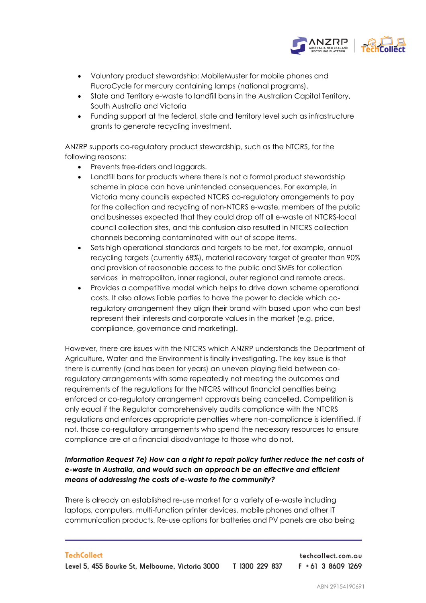

- Voluntary product stewardship: MobileMuster for mobile phones and FluoroCycle for mercury containing lamps (national programs).
- State and Territory e-waste to landfill bans in the Australian Capital Territory, South Australia and Victoria
- Funding support at the federal, state and territory level such as infrastructure grants to generate recycling investment.

ANZRP supports co-regulatory product stewardship, such as the NTCRS, for the following reasons:

- Prevents free-riders and laggards.
- Landfill bans for products where there is not a formal product stewardship scheme in place can have unintended consequences. For example, in Victoria many councils expected NTCRS co-regulatory arrangements to pay for the collection and recycling of non-NTCRS e-waste, members of the public and businesses expected that they could drop off all e-waste at NTCRS-local council collection sites, and this confusion also resulted in NTCRS collection channels becoming contaminated with out of scope items.
- Sets high operational standards and targets to be met, for example, annual recycling targets (currently 68%), material recovery target of greater than 90% and provision of reasonable access to the public and SMEs for collection services in metropolitan, inner regional, outer regional and remote areas.
- Provides a competitive model which helps to drive down scheme operational costs. It also allows liable parties to have the power to decide which coregulatory arrangement they align their brand with based upon who can best represent their interests and corporate values in the market (e.g. price, compliance, governance and marketing).

However, there are issues with the NTCRS which ANZRP understands the Department of Agriculture, Water and the Environment is finally investigating. The key issue is that there is currently (and has been for years) an uneven playing field between coregulatory arrangements with some repeatedly not meeting the outcomes and requirements of the regulations for the NTCRS without financial penalties being enforced or co-regulatory arrangement approvals being cancelled. Competition is only equal if the Regulator comprehensively audits compliance with the NTCRS regulations and enforces appropriate penalties where non-compliance is identified. If not, those co-regulatory arrangements who spend the necessary resources to ensure compliance are at a financial disadvantage to those who do not.

# *Information Request 7e) How can a right to repair policy further reduce the net costs of e-waste in Australia, and would such an approach be an effective and efficient means of addressing the costs of e-waste to the community?*

There is already an established re-use market for a variety of e-waste including laptops, computers, multi-function printer devices, mobile phones and other IT communication products. Re-use options for batteries and PV panels are also being